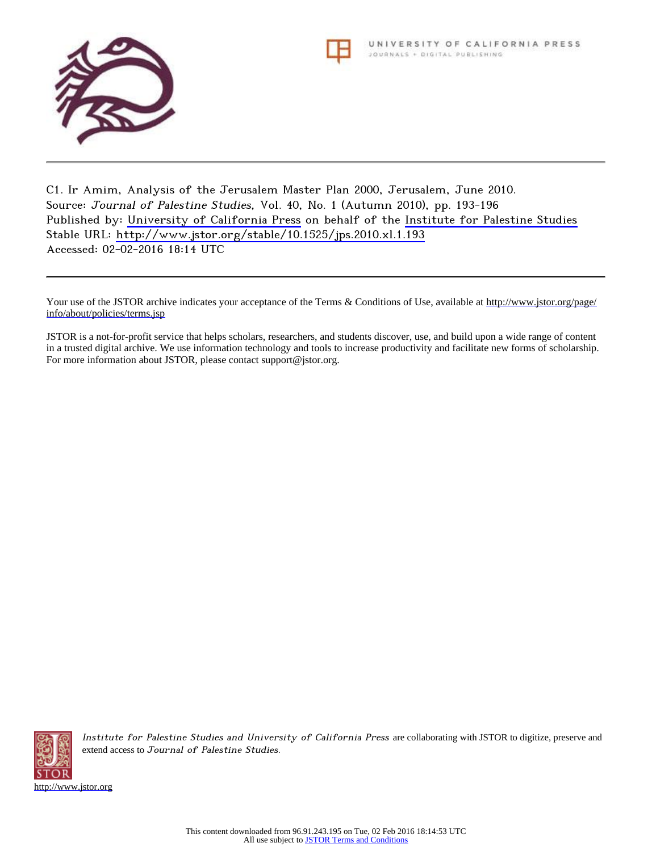



C1. Ir Amim, Analysis of the Jerusalem Master Plan 2000, Jerusalem, June 2010. Source: Journal of Palestine Studies, Vol. 40, No. 1 (Autumn 2010), pp. 193-196 Published by: [University of California Press](http://www.jstor.org/publisher/ucal) on behalf of the [Institute for Palestine Studies](http://www.jstor.org/publisher/palstud) Stable URL: <http://www.jstor.org/stable/10.1525/jps.2010.xl.1.193> Accessed: 02-02-2016 18:14 UTC

Your use of the JSTOR archive indicates your acceptance of the Terms & Conditions of Use, available at [http://www.jstor.org/page/](http://www.jstor.org/page/info/about/policies/terms.jsp) [info/about/policies/terms.jsp](http://www.jstor.org/page/info/about/policies/terms.jsp)

JSTOR is a not-for-profit service that helps scholars, researchers, and students discover, use, and build upon a wide range of content in a trusted digital archive. We use information technology and tools to increase productivity and facilitate new forms of scholarship. For more information about JSTOR, please contact support@jstor.org.



Institute for Palestine Studies and University of California Press are collaborating with JSTOR to digitize, preserve and extend access to Journal of Palestine Studies.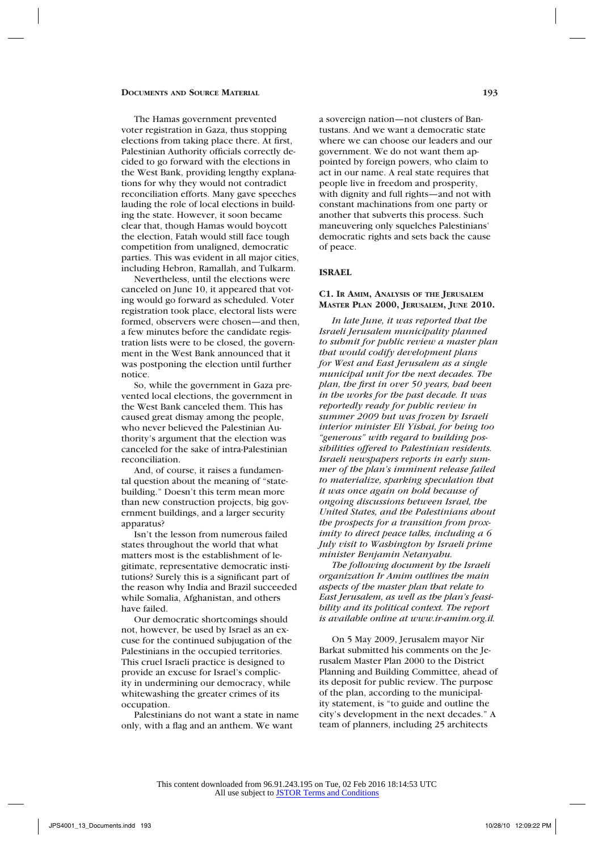### **Documents and Source Material 193**

The Hamas government prevented voter registration in Gaza, thus stopping elections from taking place there. At first, Palestinian Authority officials correctly decided to go forward with the elections in the West Bank, providing lengthy explanations for why they would not contradict reconciliation efforts. Many gave speeches lauding the role of local elections in building the state. However, it soon became clear that, though Hamas would boycott the election, Fatah would still face tough competition from unaligned, democratic parties. This was evident in all major cities, including Hebron, Ramallah, and Tulkarm.

Nevertheless, until the elections were canceled on June 10, it appeared that voting would go forward as scheduled. Voter registration took place, electoral lists were formed, observers were chosen—and then, a few minutes before the candidate registration lists were to be closed, the government in the West Bank announced that it was postponing the election until further notice.

So, while the government in Gaza prevented local elections, the government in the West Bank canceled them. This has caused great dismay among the people, who never believed the Palestinian Authority's argument that the election was canceled for the sake of intra-Palestinian reconciliation.

And, of course, it raises a fundamental question about the meaning of "statebuilding." Doesn't this term mean more than new construction projects, big government buildings, and a larger security apparatus?

Isn't the lesson from numerous failed states throughout the world that what matters most is the establishment of legitimate, representative democratic institutions? Surely this is a significant part of the reason why India and Brazil succeeded while Somalia, Afghanistan, and others have failed.

Our democratic shortcomings should not, however, be used by Israel as an excuse for the continued subjugation of the Palestinians in the occupied territories. This cruel Israeli practice is designed to provide an excuse for Israel's complicity in undermining our democracy, while whitewashing the greater crimes of its occupation.

Palestinians do not want a state in name only, with a flag and an anthem. We want

a sovereign nation—not clusters of Bantustans. And we want a democratic state where we can choose our leaders and our government. We do not want them appointed by foreign powers, who claim to act in our name. A real state requires that people live in freedom and prosperity, with dignity and full rights—and not with constant machinations from one party or another that subverts this process. Such maneuvering only squelches Palestinians' democratic rights and sets back the cause of peace.

## **ISRAEL**

## **C1. Ir Amim, Analysis of the Jerusalem Master Plan 2000, Jerusalem, June 2010.**

*In late June, it was reported that the Israeli Jerusalem municipality planned to submit for public review a master plan that would codify development plans for West and East Jerusalem as a single municipal unit for the next decades. The plan, the first in over 50 years, had been in the works for the past decade. It was reportedly ready for public review in summer 2009 but was frozen by Israeli interior minister Eli Yishai, for being too "generous" with regard to building possibilities offered to Palestinian residents. Israeli newspapers reports in early summer of the plan's imminent release failed to materialize, sparking speculation that it was once again on hold because of ongoing discussions between Israel, the United States, and the Palestinians about the prospects for a transition from proximity to direct peace talks, including a 6 July visit to Washington by Israeli prime minister Benjamin Netanyahu.*

*The following document by the Israeli organization Ir Amim outlines the main aspects of the master plan that relate to East Jerusalem, as well as the plan's feasibility and its political context. The report is available online at www.ir-amim.org.il.*

On 5 May 2009, Jerusalem mayor Nir Barkat submitted his comments on the Jerusalem Master Plan 2000 to the District Planning and Building Committee, ahead of its deposit for public review. The purpose of the plan, according to the municipality statement, is "to guide and outline the city's development in the next decades." A team of planners, including 25 architects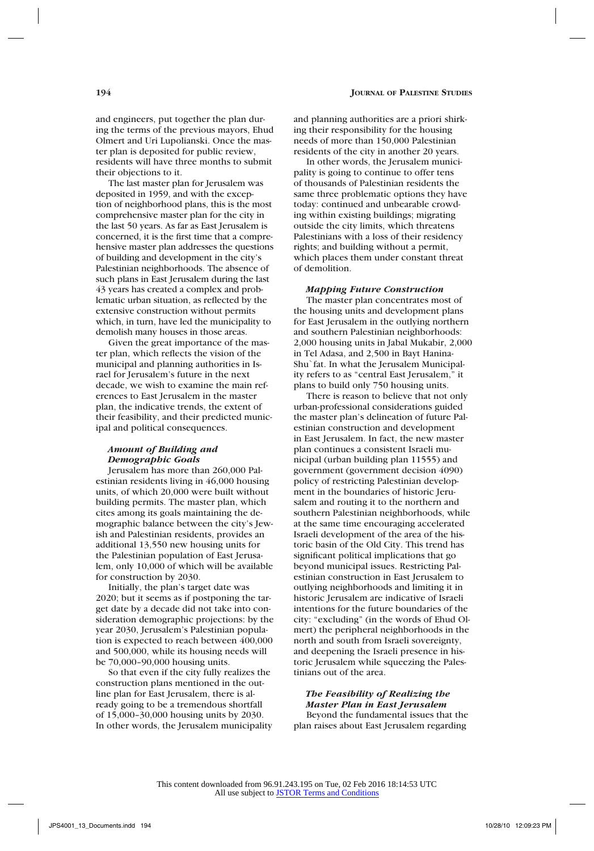and engineers, put together the plan during the terms of the previous mayors, Ehud Olmert and Uri Lupolianski. Once the master plan is deposited for public review, residents will have three months to submit their objections to it.

The last master plan for Jerusalem was deposited in 1959, and with the exception of neighborhood plans, this is the most comprehensive master plan for the city in the last 50 years. As far as East Jerusalem is concerned, it is the first time that a comprehensive master plan addresses the questions of building and development in the city's Palestinian neighborhoods. The absence of such plans in East Jerusalem during the last 43 years has created a complex and problematic urban situation, as reflected by the extensive construction without permits which, in turn, have led the municipality to demolish many houses in those areas.

Given the great importance of the master plan, which reflects the vision of the municipal and planning authorities in Israel for Jerusalem's future in the next decade, we wish to examine the main references to East Jerusalem in the master plan, the indicative trends, the extent of their feasibility, and their predicted municipal and political consequences.

## *Amount of Building and Demographic Goals*

Jerusalem has more than 260,000 Palestinian residents living in 46,000 housing units, of which 20,000 were built without building permits. The master plan, which cites among its goals maintaining the demographic balance between the city's Jewish and Palestinian residents, provides an additional 13,550 new housing units for the Palestinian population of East Jerusalem, only 10,000 of which will be available for construction by 2030.

Initially, the plan's target date was 2020; but it seems as if postponing the target date by a decade did not take into consideration demographic projections: by the year 2030, Jerusalem's Palestinian population is expected to reach between 400,000 and 500,000, while its housing needs will be 70,000–90,000 housing units.

So that even if the city fully realizes the construction plans mentioned in the outline plan for East Jerusalem, there is already going to be a tremendous shortfall of 15,000–30,000 housing units by 2030. In other words, the Jerusalem municipality and planning authorities are a priori shirking their responsibility for the housing needs of more than 150,000 Palestinian residents of the city in another 20 years.

In other words, the Jerusalem municipality is going to continue to offer tens of thousands of Palestinian residents the same three problematic options they have today: continued and unbearable crowding within existing buildings; migrating outside the city limits, which threatens Palestinians with a loss of their residency rights; and building without a permit, which places them under constant threat of demolition.

#### *Mapping Future Construction*

The master plan concentrates most of the housing units and development plans for East Jerusalem in the outlying northern and southern Palestinian neighborhoods: 2,000 housing units in Jabal Mukabir, 2,000 in Tel Adasa, and 2,500 in Bayt Hanina-Shu`fat. In what the Jerusalem Municipality refers to as "central East Jerusalem," it plans to build only 750 housing units.

There is reason to believe that not only urban-professional considerations guided the master plan's delineation of future Palestinian construction and development in East Jerusalem. In fact, the new master plan continues a consistent Israeli municipal (urban building plan 11555) and government (government decision 4090) policy of restricting Palestinian development in the boundaries of historic Jerusalem and routing it to the northern and southern Palestinian neighborhoods, while at the same time encouraging accelerated Israeli development of the area of the historic basin of the Old City. This trend has significant political implications that go beyond municipal issues. Restricting Palestinian construction in East Jerusalem to outlying neighborhoods and limiting it in historic Jerusalem are indicative of Israeli intentions for the future boundaries of the city: "excluding" (in the words of Ehud Olmert) the peripheral neighborhoods in the north and south from Israeli sovereignty, and deepening the Israeli presence in historic Jerusalem while squeezing the Palestinians out of the area.

# *The Feasibility of Realizing the Master Plan in East Jerusalem*

Beyond the fundamental issues that the plan raises about East Jerusalem regarding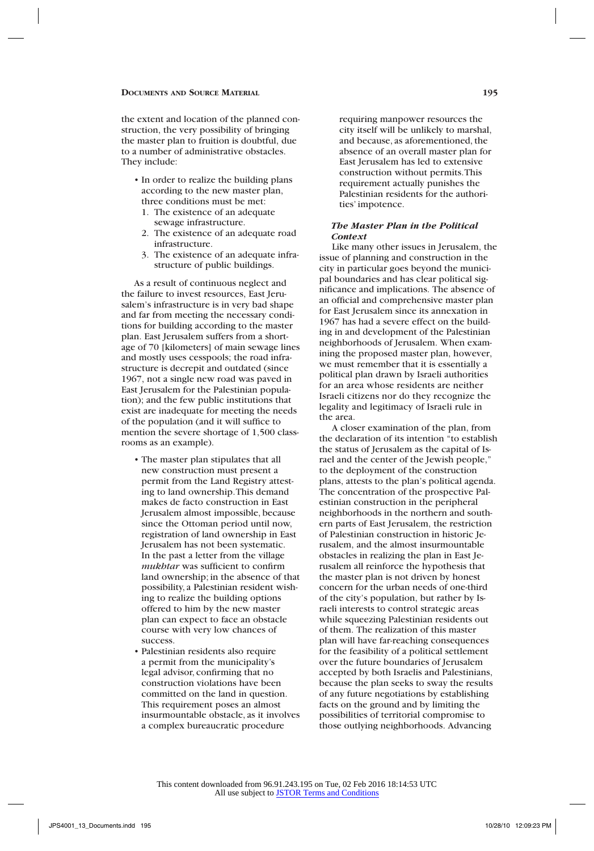### **Documents and Source Material 195**

the extent and location of the planned construction, the very possibility of bringing the master plan to fruition is doubtful, due to a number of administrative obstacles. They include:

- In order to realize the building plans according to the new master plan, three conditions must be met:
	- 1. The existence of an adequate sewage infrastructure.
	- 2. The existence of an adequate road infrastructure.
	- 3. The existence of an adequate infrastructure of public buildings.

As a result of continuous neglect and the failure to invest resources, East Jerusalem's infrastructure is in very bad shape and far from meeting the necessary conditions for building according to the master plan. East Jerusalem suffers from a shortage of 70 [kilometers] of main sewage lines and mostly uses cesspools; the road infrastructure is decrepit and outdated (since 1967, not a single new road was paved in East Jerusalem for the Palestinian population); and the few public institutions that exist are inadequate for meeting the needs of the population (and it will suffice to mention the severe shortage of 1,500 classrooms as an example).

- The master plan stipulates that all new construction must present a permit from the Land Registry attesting to land ownership. This demand makes de facto construction in East Jerusalem almost impossible, because since the Ottoman period until now, registration of land ownership in East Jerusalem has not been systematic. In the past a letter from the village *mukhtar* was sufficient to confirm land ownership; in the absence of that possibility, a Palestinian resident wishing to realize the building options offered to him by the new master plan can expect to face an obstacle course with very low chances of success.
- Palestinian residents also require a permit from the municipality's legal advisor, confirming that no construction violations have been committed on the land in question. This requirement poses an almost insurmountable obstacle, as it involves a complex bureaucratic procedure

requiring manpower resources the city itself will be unlikely to marshal, and because, as aforementioned, the absence of an overall master plan for East Jerusalem has led to extensive construction without permits. This requirement actually punishes the Palestinian residents for the authorities' impotence.

# *The Master Plan in the Political Context*

Like many other issues in Jerusalem, the issue of planning and construction in the city in particular goes beyond the municipal boundaries and has clear political significance and implications. The absence of an official and comprehensive master plan for East Jerusalem since its annexation in 1967 has had a severe effect on the building in and development of the Palestinian neighborhoods of Jerusalem. When examining the proposed master plan, however, we must remember that it is essentially a political plan drawn by Israeli authorities for an area whose residents are neither Israeli citizens nor do they recognize the legality and legitimacy of Israeli rule in the area.

A closer examination of the plan, from the declaration of its intention "to establish the status of Jerusalem as the capital of Israel and the center of the Jewish people," to the deployment of the construction plans, attests to the plan's political agenda. The concentration of the prospective Palestinian construction in the peripheral neighborhoods in the northern and southern parts of East Jerusalem, the restriction of Palestinian construction in historic Jerusalem, and the almost insurmountable obstacles in realizing the plan in East Jerusalem all reinforce the hypothesis that the master plan is not driven by honest concern for the urban needs of one-third of the city's population, but rather by Israeli interests to control strategic areas while squeezing Palestinian residents out of them. The realization of this master plan will have far-reaching consequences for the feasibility of a political settlement over the future boundaries of Jerusalem accepted by both Israelis and Palestinians, because the plan seeks to sway the results of any future negotiations by establishing facts on the ground and by limiting the possibilities of territorial compromise to those outlying neighborhoods. Advancing